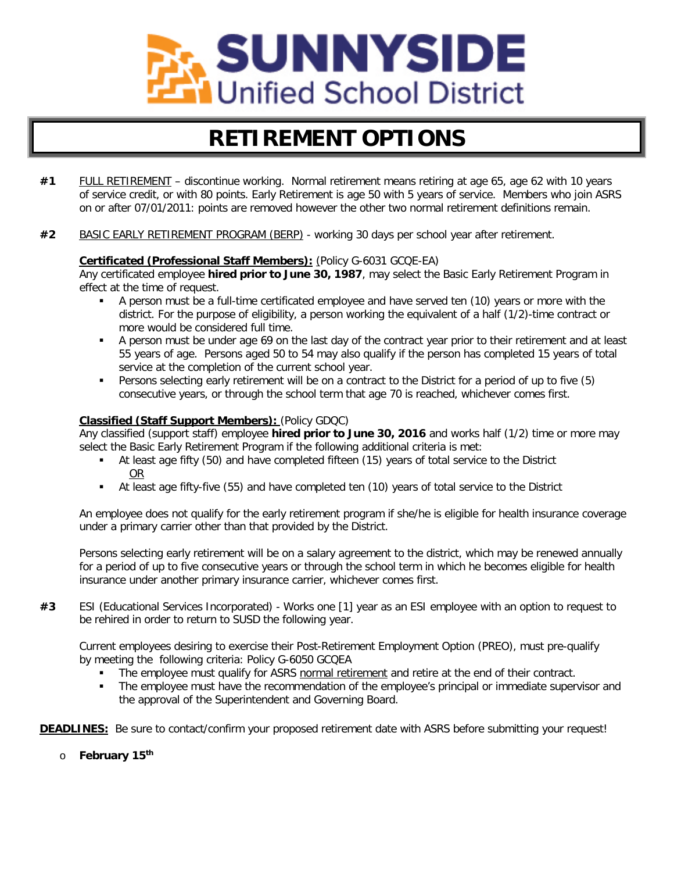

## **RETIREMENT OPTIONS**

- **#1** FULL RETIREMENT discontinue working. Normal retirement means retiring at age 65, age 62 with 10 years of service credit, or with 80 points. Early Retirement is age 50 with 5 years of service. Members who join ASRS on or after 07/01/2011: points are removed however the other two normal retirement definitions remain.
- **#2** BASIC EARLY RETIREMENT PROGRAM (BERP) working 30 days per school year after retirement.

#### **Certificated (Professional Staff Members):** (Policy G-6031 GCQE-EA)

Any certificated employee **hired prior to June 30, 1987**, may select the Basic Early Retirement Program in effect at the time of request.

- A person must be a full-time certificated employee and have served ten (10) years or more with the district. For the purpose of eligibility, a person working the equivalent of a half (1/2)-time contract or more would be considered full time.
- A person must be under age 69 on the last day of the contract year prior to their retirement and at least 55 years of age. Persons aged 50 to 54 may also qualify if the person has completed 15 years of total service at the completion of the current school year.
- Persons selecting early retirement will be on a contract to the District for a period of up to five (5) consecutive years, or through the school term that age 70 is reached, whichever comes first.

#### **Classified (Staff Support Members):** (Policy GDQC)

Any classified (support staff) employee **hired prior to June 30, 2016** and works half (1/2) time or more may select the Basic Early Retirement Program if the following additional criteria is met:

- At least age fifty (50) and have completed fifteen (15) years of total service to the District OR
- At least age fifty-five (55) and have completed ten (10) years of total service to the District

An employee does not qualify for the early retirement program if she/he is eligible for health insurance coverage under a primary carrier other than that provided by the District.

Persons selecting early retirement will be on a salary agreement to the district, which may be renewed annually for a period of up to five consecutive years or through the school term in which he becomes eligible for health insurance under another primary insurance carrier, whichever comes first.

**#3** ESI (Educational Services Incorporated) - Works one [1] year as an ESI employee with an option to request to be rehired in order to return to SUSD the following year.

Current employees desiring to exercise their Post-Retirement Employment Option (PREO), must pre-qualify by meeting the following criteria: Policy G-6050 GCQEA

- The employee must qualify for ASRS normal retirement and retire at the end of their contract.
- The employee must have the recommendation of the employee's principal or immediate supervisor and the approval of the Superintendent and Governing Board.

**DEADLINES:** Be sure to contact/confirm your proposed retirement date with ASRS before submitting your request!

o **February 15th**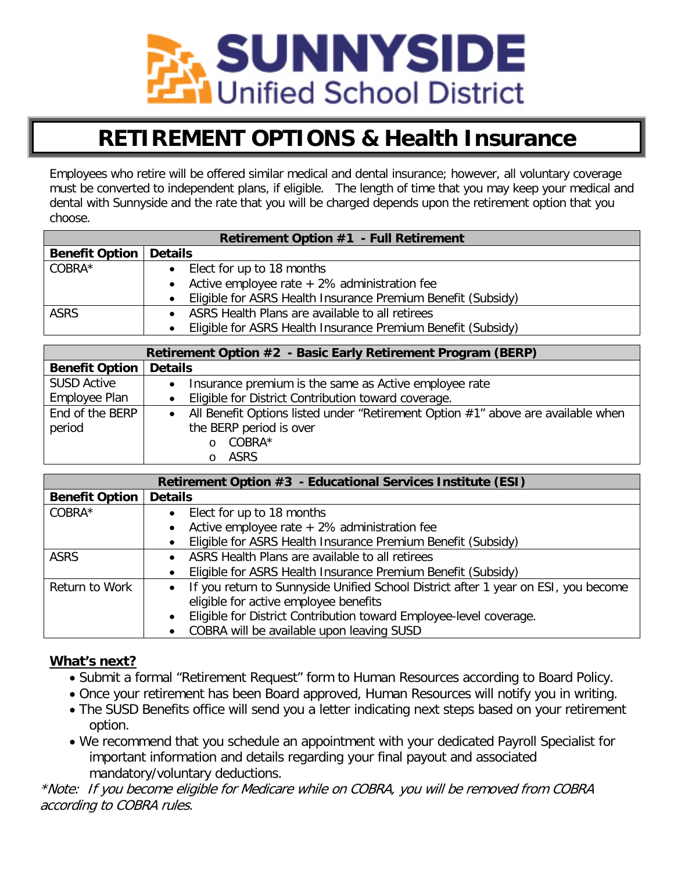

### **RETIREMENT OPTIONS & Health Insurance**

Employees who retire will be offered similar medical and dental insurance; however, all voluntary coverage must be converted to independent plans, if eligible. The length of time that you may keep your medical and dental with Sunnyside and the rate that you will be charged depends upon the retirement option that you choose.

| <b>Retirement Option #1 - Full Retirement</b> |                                                                |  |  |
|-----------------------------------------------|----------------------------------------------------------------|--|--|
| <b>Benefit Option</b>                         | <b>Details</b>                                                 |  |  |
| COBRA*                                        | Elect for up to 18 months                                      |  |  |
|                                               | Active employee rate $+2\%$ administration fee                 |  |  |
|                                               | • Eligible for ASRS Health Insurance Premium Benefit (Subsidy) |  |  |
| <b>ASRS</b>                                   | ASRS Health Plans are available to all retirees                |  |  |
|                                               | Eligible for ASRS Health Insurance Premium Benefit (Subsidy)   |  |  |

| Retirement Option #2 - Basic Early Retirement Program (BERP) |                                                                                               |  |  |
|--------------------------------------------------------------|-----------------------------------------------------------------------------------------------|--|--|
| <b>Benefit Option</b>                                        | <b>Details</b>                                                                                |  |  |
| <b>SUSD Active</b>                                           | Insurance premium is the same as Active employee rate                                         |  |  |
| Employee Plan                                                | Eligible for District Contribution toward coverage.                                           |  |  |
| End of the BERP                                              | All Benefit Options listed under "Retirement Option #1" above are available when<br>$\bullet$ |  |  |
| period                                                       | the BERP period is over                                                                       |  |  |
|                                                              | COBRA*<br>$\Omega$                                                                            |  |  |
|                                                              | <b>ASRS</b>                                                                                   |  |  |

| Retirement Option #3 - Educational Services Institute (ESI) |                                                                                                 |  |  |
|-------------------------------------------------------------|-------------------------------------------------------------------------------------------------|--|--|
| <b>Benefit Option</b>                                       | <b>Details</b>                                                                                  |  |  |
| COBRA*                                                      | Elect for up to 18 months                                                                       |  |  |
|                                                             | Active employee rate $+2\%$ administration fee                                                  |  |  |
|                                                             | Eligible for ASRS Health Insurance Premium Benefit (Subsidy)                                    |  |  |
| <b>ASRS</b>                                                 | ASRS Health Plans are available to all retirees                                                 |  |  |
|                                                             | Eligible for ASRS Health Insurance Premium Benefit (Subsidy)                                    |  |  |
| Return to Work                                              | If you return to Sunnyside Unified School District after 1 year on ESI, you become<br>$\bullet$ |  |  |
|                                                             | eligible for active employee benefits                                                           |  |  |
|                                                             | Eligible for District Contribution toward Employee-level coverage.                              |  |  |
|                                                             | COBRA will be available upon leaving SUSD                                                       |  |  |

### **What's next?**

- Submit a formal "Retirement Request" form to Human Resources according to Board Policy.
- Once your retirement has been Board approved, Human Resources will notify you in writing.
- The SUSD Benefits office will send you a letter indicating next steps based on your retirement option.
- We recommend that you schedule an appointment with your dedicated Payroll Specialist for important information and details regarding your final payout and associated mandatory/voluntary deductions.

\*Note: If you become eligible for Medicare while on COBRA, you will be removed from COBRA according to COBRA rules.